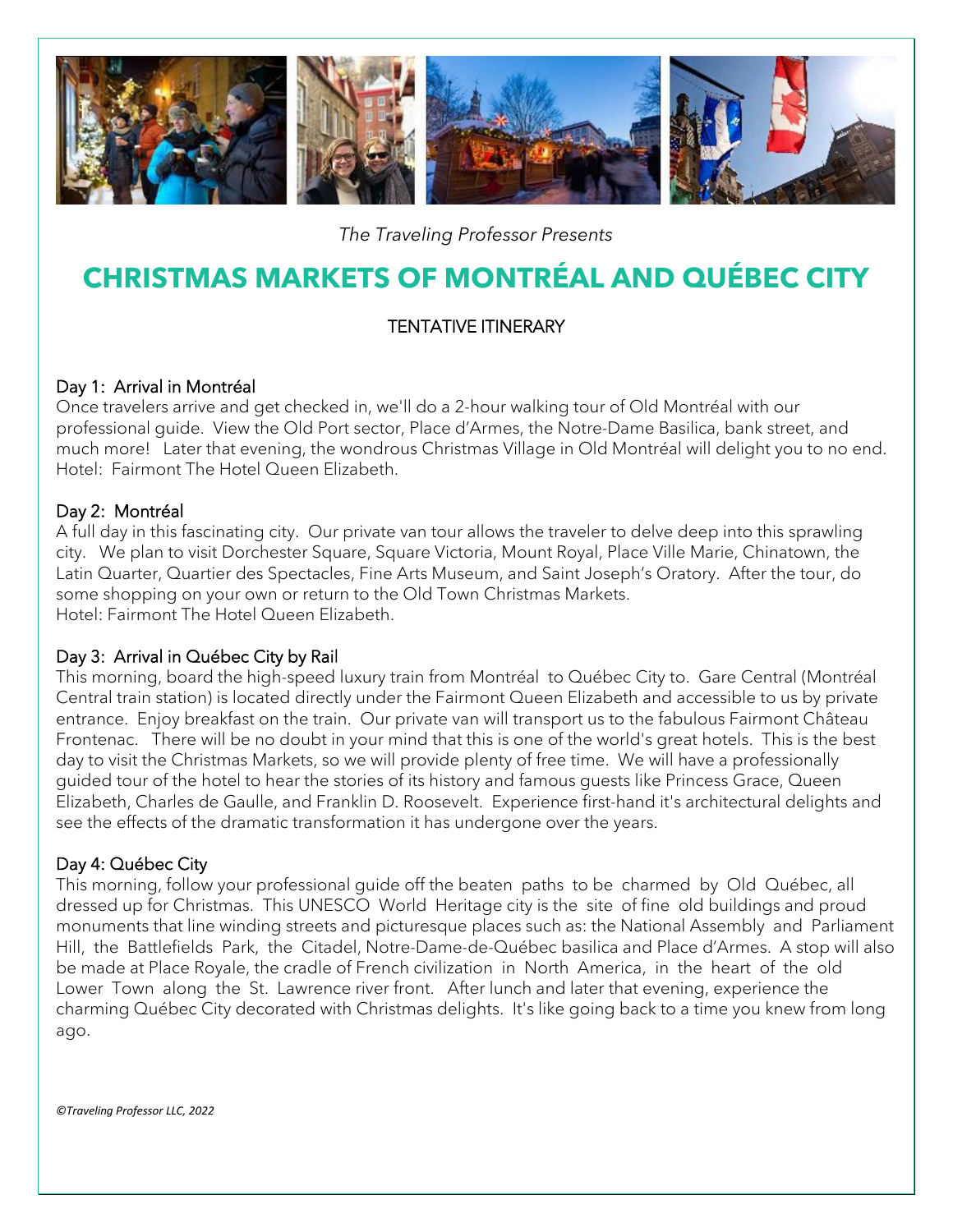

*The Traveling Professor Presents*

# **CHRISTMAS MARKETS OF MONTRÉAL AND QUÉBEC CITY**

### TENTATIVE ITINERARY

#### Day 1: Arrival in Montréal

Once travelers arrive and get checked in, we'll do a 2-hour walking tour of Old Montréal with our professional guide. View the Old Port sector, Place d'Armes, the Notre-Dame Basilica, bank street, and much more! Later that evening, the wondrous Christmas Village in Old Montréal will delight you to no end. Hotel: Fairmont The Hotel Queen Elizabeth.

#### Day 2: Montréal

A full day in this fascinating city. Our private van tour allows the traveler to delve deep into this sprawling city. We plan to visit Dorchester Square, Square Victoria, Mount Royal, Place Ville Marie, Chinatown, the Latin Quarter, Quartier des Spectacles, Fine Arts Museum, and Saint Joseph's Oratory. After the tour, do some shopping on your own or return to the Old Town Christmas Markets. Hotel: Fairmont The Hotel Queen Elizabeth.

#### Day 3: Arrival in Québec City by Rail

This morning, board the high-speed luxury train from Montréal to Québec City to. Gare Central (Montréal Central train station) is located directly under the Fairmont Queen Elizabeth and accessible to us by private entrance. Enjoy breakfast on the train. Our private van will transport us to the fabulous Fairmont Château Frontenac. There will be no doubt in your mind that this is one of the world's great hotels. This is the best day to visit the Christmas Markets, so we will provide plenty of free time. We will have a professionally guided tour of the hotel to hear the stories of its history and famous guests like Princess Grace, Queen Elizabeth, Charles de Gaulle, and Franklin D. Roosevelt. Experience first-hand it's architectural delights and see the effects of the dramatic transformation it has undergone over the years.

#### Day 4: Québec City

This morning, follow your professional guide off the beaten paths to be charmed by Old Québec, all dressed up for Christmas. This UNESCO World Heritage city is the site of fine old buildings and proud monuments that line winding streets and picturesque places such as: the National Assembly and Parliament Hill, the Battlefields Park, the Citadel, Notre-Dame-de-Québec basilica and Place d'Armes. A stop will also be made at Place Royale, the cradle of French civilization in North America, in the heart of the old Lower Town along the St. Lawrence river front. After lunch and later that evening, experience the charming Québec City decorated with Christmas delights. It's like going back to a time you knew from long ago.

*©Traveling Professor LLC, 2022*